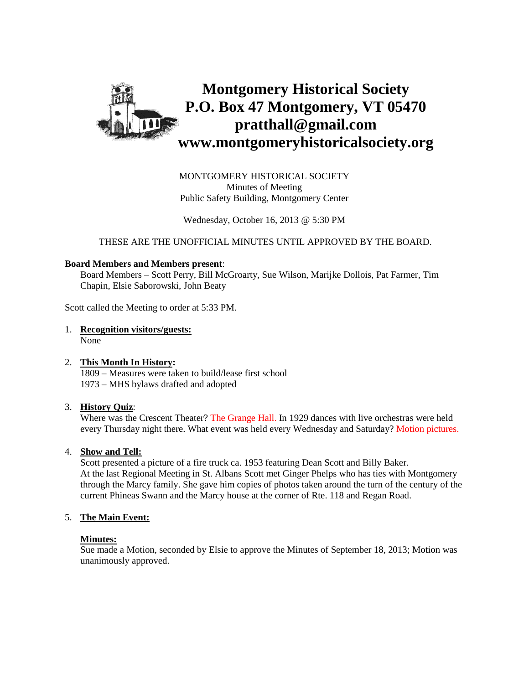

MONTGOMERY HISTORICAL SOCIETY Minutes of Meeting Public Safety Building, Montgomery Center

Wednesday, October 16, 2013 @ 5:30 PM

THESE ARE THE UNOFFICIAL MINUTES UNTIL APPROVED BY THE BOARD.

#### **Board Members and Members present**:

Board Members – Scott Perry, Bill McGroarty, Sue Wilson, Marijke Dollois, Pat Farmer, Tim Chapin, Elsie Saborowski, John Beaty

Scott called the Meeting to order at 5:33 PM.

1. **Recognition visitors/guests:** None

### 2. **This Month In History:**

1809 – Measures were taken to build/lease first school 1973 – MHS bylaws drafted and adopted

# 3. **History Quiz**:

Where was the Crescent Theater? The Grange Hall. In 1929 dances with live orchestras were held every Thursday night there. What event was held every Wednesday and Saturday? Motion pictures.

# 4. **Show and Tell:**

Scott presented a picture of a fire truck ca. 1953 featuring Dean Scott and Billy Baker. At the last Regional Meeting in St. Albans Scott met Ginger Phelps who has ties with Montgomery through the Marcy family. She gave him copies of photos taken around the turn of the century of the current Phineas Swann and the Marcy house at the corner of Rte. 118 and Regan Road.

# 5. **The Main Event:**

#### **Minutes:**

Sue made a Motion, seconded by Elsie to approve the Minutes of September 18, 2013; Motion was unanimously approved.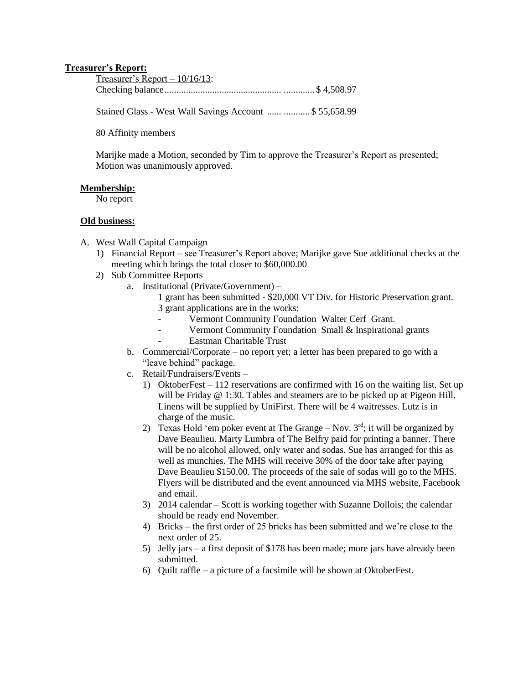# **Treasurer's Report:**

| Treasurer's Report $-10/16/13$ : |  |
|----------------------------------|--|
|                                  |  |

Stained Glass - West Wall Savings Account ...... ........... \$ 55,658.99

80 Affinity members

Marijke made a Motion, seconded by Tim to approve the Treasurer's Report as presented; Motion was unanimously approved.

#### **Membership:**

No report

# **Old business:**

- A. West Wall Capital Campaign
	- 1) Financial Report see Treasurer's Report above; Marijke gave Sue additional checks at the meeting which brings the total closer to \$60,000.00
	- 2) Sub Committee Reports
		- a. Institutional (Private/Government)
			- 1 grant has been submitted \$20,000 VT Div. for Historic Preservation grant. 3 grant applications are in the works:
				- Vermont Community Foundation Walter Cerf Grant.
			- Vermont Community Foundation Small & Inspirational grants
				- Eastman Charitable Trust
		- b. Commercial/Corporate no report yet; a letter has been prepared to go with a "leave behind" package.
		- c. Retail/Fundraisers/Events
			- 1) OktoberFest 112 reservations are confirmed with 16 on the waiting list. Set up will be Friday @ 1:30. Tables and steamers are to be picked up at Pigeon Hill. Linens will be supplied by UniFirst. There will be 4 waitresses. Lutz is in charge of the music.
			- 2) Texas Hold 'em poker event at The Grange Nov.  $3<sup>rd</sup>$ ; it will be organized by Dave Beaulieu. Marty Lumbra of The Belfry paid for printing a banner. There will be no alcohol allowed, only water and sodas. Sue has arranged for this as well as munchies. The MHS will receive 30% of the door take after paying Dave Beaulieu \$150.00. The proceeds of the sale of sodas will go to the MHS. Flyers will be distributed and the event announced via MHS website, Facebook and email.
			- 3) 2014 calendar Scott is working together with Suzanne Dollois; the calendar should be ready end November.
			- 4) Bricks the first order of 25 bricks has been submitted and we're close to the next order of 25.
			- 5) Jelly jars a first deposit of \$178 has been made; more jars have already been submitted.
			- 6) Quilt raffle a picture of a facsimile will be shown at OktoberFest.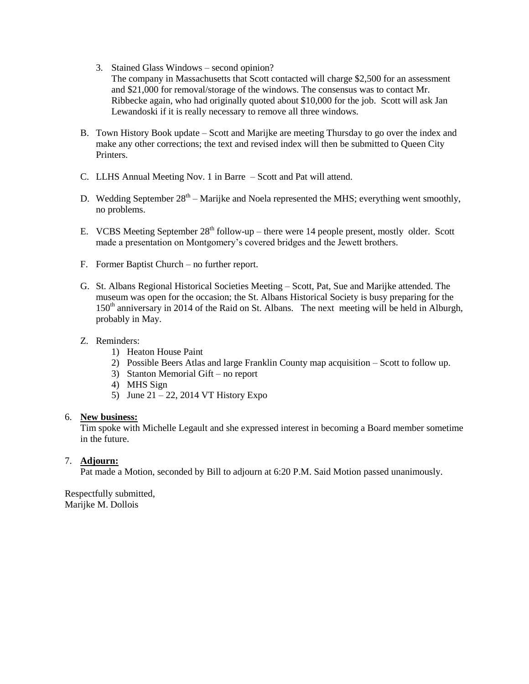- 3. Stained Glass Windows second opinion? The company in Massachusetts that Scott contacted will charge \$2,500 for an assessment and \$21,000 for removal/storage of the windows. The consensus was to contact Mr. Ribbecke again, who had originally quoted about \$10,000 for the job. Scott will ask Jan Lewandoski if it is really necessary to remove all three windows.
- B. Town History Book update Scott and Marijke are meeting Thursday to go over the index and make any other corrections; the text and revised index will then be submitted to Queen City Printers.
- C. LLHS Annual Meeting Nov. 1 in Barre Scott and Pat will attend.
- D. Wedding September  $28<sup>th</sup> -$  Marijke and Noela represented the MHS; everything went smoothly, no problems.
- E. VCBS Meeting September  $28<sup>th</sup>$  follow-up there were 14 people present, mostly older. Scott made a presentation on Montgomery's covered bridges and the Jewett brothers.
- F. Former Baptist Church no further report.
- G. St. Albans Regional Historical Societies Meeting Scott, Pat, Sue and Marijke attended. The museum was open for the occasion; the St. Albans Historical Society is busy preparing for the 150<sup>th</sup> anniversary in 2014 of the Raid on St. Albans. The next meeting will be held in Alburgh, probably in May.
- Z. Reminders:
	- 1) Heaton House Paint
	- 2) Possible Beers Atlas and large Franklin County map acquisition Scott to follow up.
	- 3) Stanton Memorial Gift no report
	- 4) MHS Sign
	- 5) June  $21 22$ , 2014 VT History Expo

# 6. **New business:**

Tim spoke with Michelle Legault and she expressed interest in becoming a Board member sometime in the future.

# 7. **Adjourn:**

Pat made a Motion, seconded by Bill to adjourn at 6:20 P.M. Said Motion passed unanimously.

Respectfully submitted, Marijke M. Dollois